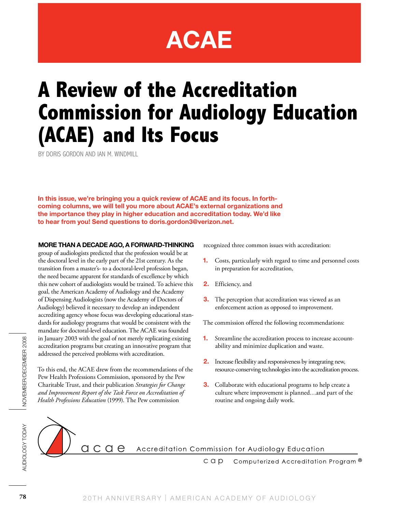# **ACAE**

## **A Review of the Accreditation Commission for Audiology Education (ACAE) and Its Focus**

BY DORIS GORDON AND IAN M. WINDMILL

**In this issue, we're bringing you a quick review of ACAE and its focus. In forthcoming columns, we will tell you more about ACAE's external organizations and the importance they play in higher education and accreditation today. We'd like to hear from you! Send questions to doris.gordon3@verizon.net.**

#### **MORE THAN A DECADE AGO, A FORWARD-THINKING**

group of audiologists predicted that the profession would be at the doctoral level in the early part of the 21st century. As the transition from a master's- to a doctoral-level profession began, the need became apparent for standards of excellence by which this new cohort of audiologists would be trained. To achieve this goal, the American Academy of Audiology and the Academy of Dispensing Audiologists (now the Academy of Doctors of Audiology) believed it necessary to develop an independent accrediting agency whose focus was developing educational standards for audiology programs that would be consistent with the mandate for doctoral-level education. The ACAE was founded in January 2003 with the goal of not merely replicating existing accreditation programs but creating an innovative program that addressed the perceived problems with accreditation.

**78**<br> **18**20 Accreditation process to in flame the accreditation process to in<br>
addressed the perceived problems with accreditation.<br> **220TH** and minimize duplication and was<br>
addressed the perceived problems with accred To this end, the ACAE drew from the recommendations of the Pew Health Professions Commission, sponsored by the Pew Charitable Trust, and their publication *Strategies for Change and Improvement Report of the Task Force on Accreditation of Health Professions Education* (1999). The Pew commission

recognized three common issues with accreditation:

- **1.** Costs, particularly with regard to time and personnel costs in preparation for accreditation,
- **2.** Efficiency, and
- **3.** The perception that accreditation was viewed as an enforcement action as opposed to improvement.

The commission offered the following recommendations:

- **1.** Streamline the accreditation process to increase accountability and minimize duplication and waste.
- **2.** Increase flexibility and responsiveness by integrating new, resource-conserving technologies into the accreditation process.
- **3.** Collaborate with educational programs to help create a culture where improvement is planned…and part of the routine and ongoing daily work.